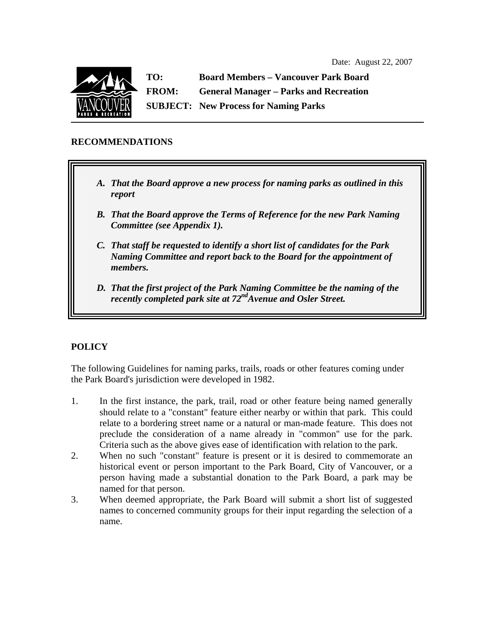

**TO: Board Members – Vancouver Park Board FROM: General Manager – Parks and Recreation SUBJECT: New Process for Naming Parks** 

## **RECOMMENDATIONS**

- *A. That the Board approve a new process for naming parks as outlined in this report*
- *B. That the Board approve the Terms of Reference for the new Park Naming Committee (see Appendix 1).*
- *C. That staff be requested to identify a short list of candidates for the Park Naming Committee and report back to the Board for the appointment of members.*
- *D. That the first project of the Park Naming Committee be the naming of the recently completed park site at 72ndAvenue and Osler Street.*

# **POLICY**

The following Guidelines for naming parks, trails, roads or other features coming under the Park Board's jurisdiction were developed in 1982.

- 1. In the first instance, the park, trail, road or other feature being named generally should relate to a "constant" feature either nearby or within that park. This could relate to a bordering street name or a natural or man-made feature. This does not preclude the consideration of a name already in "common" use for the park. Criteria such as the above gives ease of identification with relation to the park.
- 2. When no such "constant" feature is present or it is desired to commemorate an historical event or person important to the Park Board, City of Vancouver, or a person having made a substantial donation to the Park Board, a park may be named for that person.
- 3. When deemed appropriate, the Park Board will submit a short list of suggested names to concerned community groups for their input regarding the selection of a name.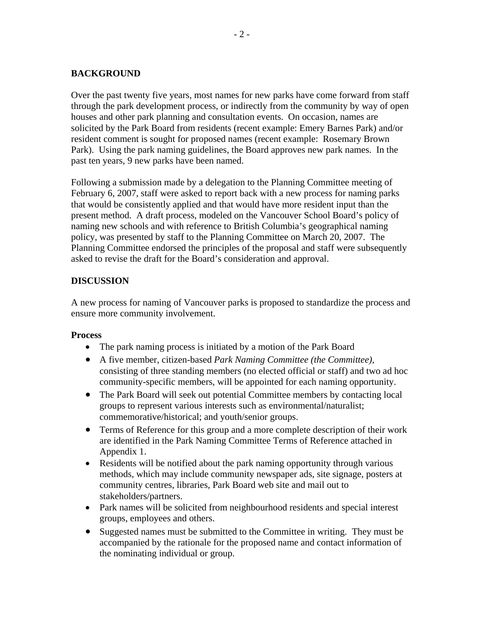### **BACKGROUND**

Over the past twenty five years, most names for new parks have come forward from staff through the park development process, or indirectly from the community by way of open houses and other park planning and consultation events. On occasion, names are solicited by the Park Board from residents (recent example: Emery Barnes Park) and/or resident comment is sought for proposed names (recent example: Rosemary Brown Park). Using the park naming guidelines, the Board approves new park names. In the past ten years, 9 new parks have been named.

Following a submission made by a delegation to the Planning Committee meeting of February 6, 2007, staff were asked to report back with a new process for naming parks that would be consistently applied and that would have more resident input than the present method. A draft process, modeled on the Vancouver School Board's policy of naming new schools and with reference to British Columbia's geographical naming policy, was presented by staff to the Planning Committee on March 20, 2007. The Planning Committee endorsed the principles of the proposal and staff were subsequently asked to revise the draft for the Board's consideration and approval.

### **DISCUSSION**

A new process for naming of Vancouver parks is proposed to standardize the process and ensure more community involvement.

#### **Process**

- The park naming process is initiated by a motion of the Park Board
- A five member, citizen-based *Park Naming Committee (the Committee),* consisting of three standing members (no elected official or staff) and two ad hoc community-specific members, will be appointed for each naming opportunity.
- The Park Board will seek out potential Committee members by contacting local groups to represent various interests such as environmental/naturalist; commemorative/historical; and youth/senior groups.
- Terms of Reference for this group and a more complete description of their work are identified in the Park Naming Committee Terms of Reference attached in Appendix 1.
- Residents will be notified about the park naming opportunity through various methods, which may include community newspaper ads, site signage, posters at community centres, libraries, Park Board web site and mail out to stakeholders/partners.
- Park names will be solicited from neighbourhood residents and special interest groups, employees and others.
- Suggested names must be submitted to the Committee in writing. They must be accompanied by the rationale for the proposed name and contact information of the nominating individual or group.